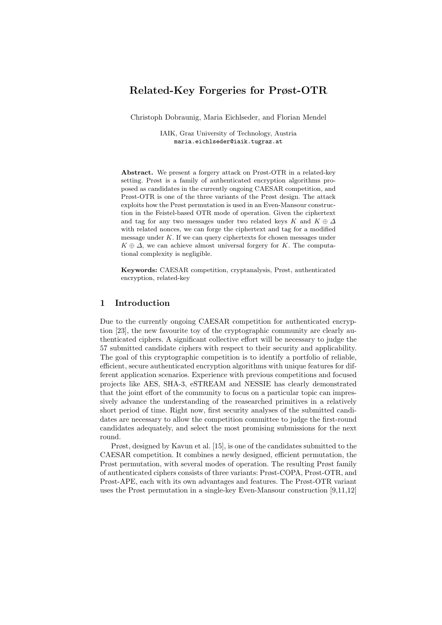# Related-Key Forgeries for Prøst-OTR

Christoph Dobraunig, Maria Eichlseder, and Florian Mendel

IAIK, Graz University of Technology, Austria maria.eichlseder@iaik.tugraz.at

Abstract. We present a forgery attack on Prøst-OTR in a related-key setting. Prøst is a family of authenticated encryption algorithms proposed as candidates in the currently ongoing CAESAR competition, and Prøst-OTR is one of the three variants of the Prøst design. The attack exploits how the Prøst permutation is used in an Even-Mansour construction in the Feistel-based OTR mode of operation. Given the ciphertext and tag for any two messages under two related keys K and  $K \oplus \Delta$ with related nonces, we can forge the ciphertext and tag for a modified message under  $K$ . If we can query ciphertexts for chosen messages under  $K \oplus \Delta$ , we can achieve almost universal forgery for K. The computational complexity is negligible.

Keywords: CAESAR competition, cryptanalysis, Prøst, authenticated encryption, related-key

### 1 Introduction

Due to the currently ongoing CAESAR competition for authenticated encryption [\[23\]](#page-15-0), the new favourite toy of the cryptographic community are clearly authenticated ciphers. A significant collective effort will be necessary to judge the 57 submitted candidate ciphers with respect to their security and applicability. The goal of this cryptographic competition is to identify a portfolio of reliable, efficient, secure authenticated encryption algorithms with unique features for different application scenarios. Experience with previous competitions and focused projects like AES, SHA-3, eSTREAM and NESSIE has clearly demonstrated that the joint effort of the community to focus on a particular topic can impressively advance the understanding of the reasearched primitives in a relatively short period of time. Right now, first security analyses of the submitted candidates are necessary to allow the competition committee to judge the first-round candidates adequately, and select the most promising submissions for the next round.

Prøst, designed by Kavun et al. [\[15\]](#page-14-0), is one of the candidates submitted to the CAESAR competition. It combines a newly designed, efficient permutation, the Prøst permutation, with several modes of operation. The resulting Prøst family of authenticated ciphers consists of three variants: Prøst-COPA, Prøst-OTR, and Prøst-APE, each with its own advantages and features. The Prøst-OTR variant uses the Prøst permutation in a single-key Even-Mansour construction [\[9,](#page-14-1)[11,](#page-14-2)[12\]](#page-14-3)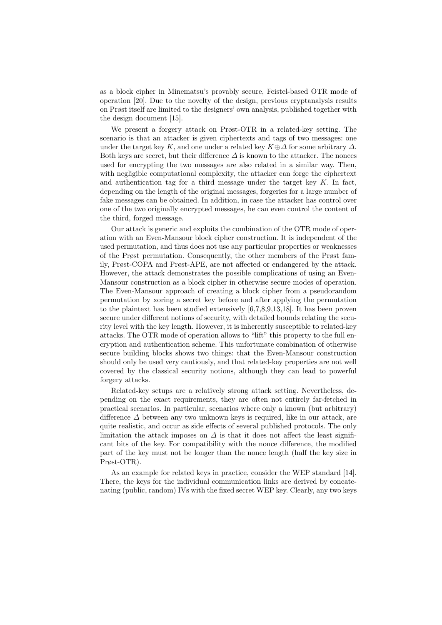as a block cipher in Minematsu's provably secure, Feistel-based OTR mode of operation [\[20\]](#page-15-1). Due to the novelty of the design, previous cryptanalysis results on Prøst itself are limited to the designers' own analysis, published together with the design document [\[15\]](#page-14-0).

We present a forgery attack on Prøst-OTR in a related-key setting. The scenario is that an attacker is given ciphertexts and tags of two messages: one under the target key K, and one under a related key  $K \oplus \Delta$  for some arbitrary  $\Delta$ . Both keys are secret, but their difference  $\Delta$  is known to the attacker. The nonces used for encrypting the two messages are also related in a similar way. Then, with negligible computational complexity, the attacker can forge the ciphertext and authentication tag for a third message under the target key  $K$ . In fact, depending on the length of the original messages, forgeries for a large number of fake messages can be obtained. In addition, in case the attacker has control over one of the two originally encrypted messages, he can even control the content of the third, forged message.

Our attack is generic and exploits the combination of the OTR mode of operation with an Even-Mansour block cipher construction. It is independent of the used permutation, and thus does not use any particular properties or weaknesses of the Prøst permutation. Consequently, the other members of the Prøst family, Prøst-COPA and Prøst-APE, are not affected or endangered by the attack. However, the attack demonstrates the possible complications of using an Even-Mansour construction as a block cipher in otherwise secure modes of operation. The Even-Mansour approach of creating a block cipher from a pseudorandom permutation by xoring a secret key before and after applying the permutation to the plaintext has been studied extensively [\[6,](#page-14-4)[7,](#page-14-5)[8,](#page-14-6)[9,](#page-14-1)[13,](#page-14-7)[18\]](#page-14-8). It has been proven secure under different notions of security, with detailed bounds relating the security level with the key length. However, it is inherently susceptible to related-key attacks. The OTR mode of operation allows to "lift" this property to the full encryption and authentication scheme. This unfortunate combination of otherwise secure building blocks shows two things: that the Even-Mansour construction should only be used very cautiously, and that related-key properties are not well covered by the classical security notions, although they can lead to powerful forgery attacks.

Related-key setups are a relatively strong attack setting. Nevertheless, depending on the exact requirements, they are often not entirely far-fetched in practical scenarios. In particular, scenarios where only a known (but arbitrary) difference  $\Delta$  between any two unknown keys is required, like in our attack, are quite realistic, and occur as side effects of several published protocols. The only limitation the attack imposes on  $\Delta$  is that it does not affect the least significant bits of the key. For compatibility with the nonce difference, the modified part of the key must not be longer than the nonce length (half the key size in Prøst-OTR).

As an example for related keys in practice, consider the WEP standard [\[14\]](#page-14-9). There, the keys for the individual communication links are derived by concatenating (public, random) IVs with the fixed secret WEP key. Clearly, any two keys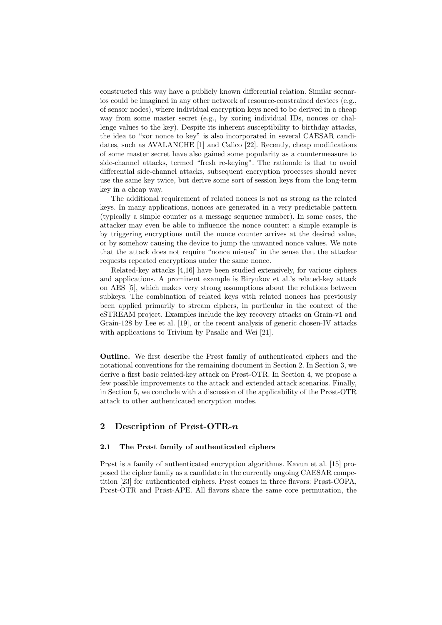constructed this way have a publicly known differential relation. Similar scenarios could be imagined in any other network of resource-constrained devices (e.g., of sensor nodes), where individual encryption keys need to be derived in a cheap way from some master secret (e.g., by xoring individual IDs, nonces or challenge values to the key). Despite its inherent susceptibility to birthday attacks, the idea to "xor nonce to key" is also incorporated in several CAESAR candidates, such as AVALANCHE [\[1\]](#page-13-0) and Calico [\[22\]](#page-15-2). Recently, cheap modifications of some master secret have also gained some popularity as a countermeasure to side-channel attacks, termed "fresh re-keying". The rationale is that to avoid differential side-channel attacks, subsequent encryption processes should never use the same key twice, but derive some sort of session keys from the long-term key in a cheap way.

The additional requirement of related nonces is not as strong as the related keys. In many applications, nonces are generated in a very predictable pattern (typically a simple counter as a message sequence number). In some cases, the attacker may even be able to influence the nonce counter: a simple example is by triggering encryptions until the nonce counter arrives at the desired value, or by somehow causing the device to jump the unwanted nonce values. We note that the attack does not require "nonce misuse" in the sense that the attacker requests repeated encryptions under the same nonce.

Related-key attacks [\[4](#page-14-10)[,16\]](#page-14-11) have been studied extensively, for various ciphers and applications. A prominent example is Biryukov et al.'s related-key attack on AES [\[5\]](#page-14-12), which makes very strong assumptions about the relations between subkeys. The combination of related keys with related nonces has previously been applied primarily to stream ciphers, in particular in the context of the eSTREAM project. Examples include the key recovery attacks on Grain-v1 and Grain-128 by Lee et al. [\[19\]](#page-14-13), or the recent analysis of generic chosen-IV attacks with applications to Trivium by Pasalic and Wei [\[21\]](#page-15-3).

Outline. We first describe the Prøst family of authenticated ciphers and the notational conventions for the remaining document in Section [2.](#page-2-0) In Section [3,](#page-4-0) we derive a first basic related-key attack on Prøst-OTR. In Section [4,](#page-9-0) we propose a few possible improvements to the attack and extended attack scenarios. Finally, in Section [5,](#page-12-0) we conclude with a discussion of the applicability of the Prøst-OTR attack to other authenticated encryption modes.

### <span id="page-2-0"></span>2 Description of Prøst-OTR-n

#### 2.1 The Prøst family of authenticated ciphers

Prøst is a family of authenticated encryption algorithms. Kavun et al. [\[15\]](#page-14-0) proposed the cipher family as a candidate in the currently ongoing CAESAR competition [\[23\]](#page-15-0) for authenticated ciphers. Prøst comes in three flavors: Prøst-COPA, Prøst-OTR and Prøst-APE. All flavors share the same core permutation, the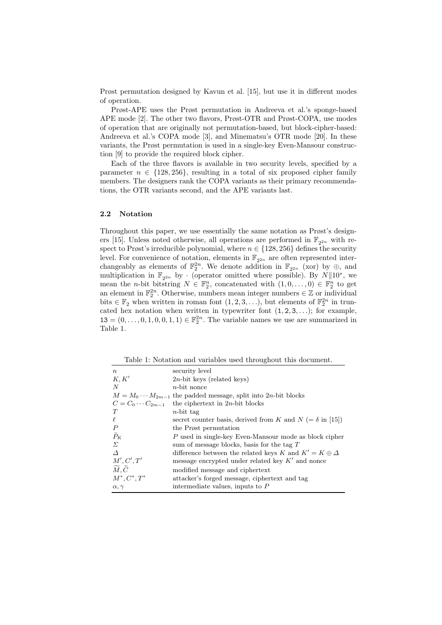Prøst permutation designed by Kavun et al. [\[15\]](#page-14-0), but use it in different modes of operation.

Prøst-APE uses the Prøst permutation in Andreeva et al.'s sponge-based APE mode [\[2\]](#page-13-1). The other two flavors, Prøst-OTR and Prøst-COPA, use modes of operation that are originally not permutation-based, but block-cipher-based: Andreeva et al.'s COPA mode [\[3\]](#page-13-2), and Minematsu's OTR mode [\[20\]](#page-15-1). In these variants, the Prøst permutation is used in a single-key Even-Mansour construction [\[9\]](#page-14-1) to provide the required block cipher.

Each of the three flavors is available in two security levels, specified by a parameter  $n \in \{128, 256\}$ , resulting in a total of six proposed cipher family members. The designers rank the COPA variants as their primary recommendations, the OTR variants second, and the APE variants last.

#### 2.2 Notation

Throughout this paper, we use essentially the same notation as Prøst's design-ers [\[15\]](#page-14-0). Unless noted otherwise, all operations are performed in  $\mathbb{F}_{2^{2n}}$  with respect to Prøst's irreducible polynomial, where  $n \in \{128, 256\}$  defines the security level. For convenience of notation, elements in  $\mathbb{F}_{2^{2n}}$  are often represented interchangeably as elements of  $\mathbb{F}_2^{2n}$ . We denote addition in  $\mathbb{F}_{2^{2n}}$  (xor) by  $\oplus$ , and multiplication in  $\mathbb{F}_{2^{2n}}$  by  $\cdot$  (operator omitted where possible). By  $N||10^*$ , we mean the *n*-bit bitstring  $N \in \mathbb{F}_2^n$ , concatenated with  $(1,0,\ldots,0) \in \mathbb{F}_2^n$  to get an element in  $\mathbb{F}_2^{2n}$ . Otherwise, numbers mean integer numbers  $\in \mathbb{Z}$  or individual bits  $\in \mathbb{F}_2$  when written in roman font  $(1, 2, 3, \ldots)$ , but elements of  $\mathbb{F}_2^{2n}$  in truncated hex notation when written in typewriter font  $(1, 2, 3, \ldots)$ ; for example,  $13 = (0, \ldots, 0, 1, 0, 0, 1, 1) \in \mathbb{F}_2^{2n}$ . The variable names we use are summarized in Table [1.](#page-3-0)

Table 1: Notation and variables used throughout this document.

<span id="page-3-0"></span>

| $\boldsymbol{n}$                               | security level                                                         |
|------------------------------------------------|------------------------------------------------------------------------|
| K, K'                                          | $2n$ -bit keys (related keys)                                          |
| N                                              | $n$ -bit nonce                                                         |
|                                                | $M = M_0 \cdots M_{2m-1}$ the padded message, split into 2n-bit blocks |
|                                                | $C = C_0 \cdots C_{2m-1}$ the ciphertext in 2n-bit blocks              |
|                                                | $n$ -bit tag                                                           |
| $\ell$                                         | secret counter basis, derived from K and N (= $\delta$ in [15])        |
| $\boldsymbol{P}$                               | the Prøst permutation                                                  |
| $\tilde{P}_K$                                  | P used in single-key Even-Mansour mode as block cipher                 |
| $\Sigma$                                       | sum of message blocks, basis for the tag $T$                           |
| $\Lambda$                                      | difference between the related keys K and $K' = K \oplus \Delta$       |
| $M', C', T'$<br>$\widetilde{M}, \widetilde{C}$ | message encrypted under related key $K'$ and nonce                     |
|                                                | modified message and ciphertext                                        |
| $M^*, C^*, T^*$                                | attacker's forged message, ciphertext and tag                          |
| $\alpha, \gamma$                               | intermediate values, inputs to $P$                                     |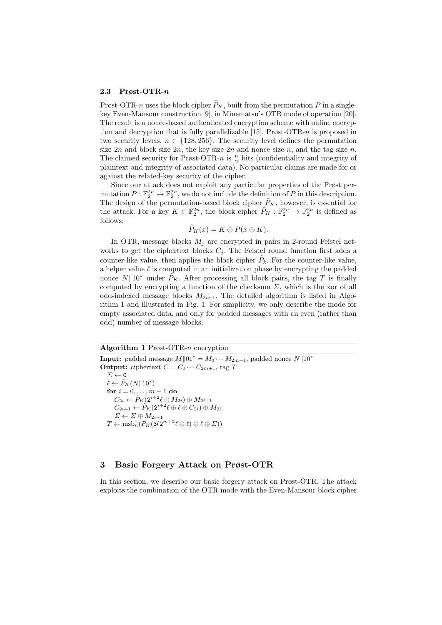#### 2.3 Prøst-OTR-n

Prøst-OTR-n uses the block cipher  $\tilde{P}_K$ , built from the permutation P in a singlekey Even-Mansour construction [\[9\]](#page-14-1), in Minematsu's OTR mode of operation [\[20\]](#page-15-1). The result is a nonce-based authenticated encryption scheme with online encryption and decryption that is fully parallelizable [\[15\]](#page-14-0). Prøst-OTR-n is proposed in two security levels,  $n \in \{128, 256\}$ . The security level defines the permutation size  $2n$  and block size  $2n$ , the key size  $2n$  and nonce size n, and the tag size n. The claimed security for Prøst-OTR-n is  $\frac{n}{2}$  bits (confidentiality and integrity of plaintext and integrity of associated data). No particular claims are made for or against the related-key security of the cipher.

Since our attack does not exploit any particular properties of the Prøst permutation  $P: \mathbb{F}_2^{2n} \to \mathbb{F}_2^{2n}$ , we do not include the definition of P in this description. The design of the permutation-based block cipher  $\tilde{P}_K$ , however, is essential for the attack. For a key  $K \in \mathbb{F}_2^{2n}$ , the block cipher  $\tilde{P}_K : \mathbb{F}_2^{2n} \to \mathbb{F}_2^{2n}$  is defined as follows:

$$
\tilde{P}_K(x) = K \oplus P(x \oplus K).
$$

In OTR, message blocks  $M_j$  are encrypted in pairs in 2-round Feistel networks to get the ciphertext blocks  $C_j$ . The Feistel round function first adds a counter-like value, then applies the block cipher  $\tilde{P}_k$ . For the counter-like value, a helper value  $\ell$  is computed in an initialization phase by encrypting the padded nonce  $N||10*$  under  $P_K$ . After processing all block pairs, the tag T is finally computed by encrypting a function of the checksum  $\Sigma$ , which is the xor of all odd-indexed message blocks  $M_{2i+1}$ . The detailed algorithm is listed in Algorithm [1](#page-4-1) and illustrated in Fig. [1.](#page-5-0) For simplicity, we only describe the mode for empty associated data, and only for padded messages with an even (rather than odd) number of message blocks.

#### <span id="page-4-1"></span>Algorithm 1 Prøst-OTR-n encryption

 $T \leftarrow \mathrm{msb}_n(\tilde P_K(3(2^{m+2}\ell \oplus \ell) \oplus \ell \oplus \Sigma))$ 

**Input:** padded message  $M||01^* = M_0 \cdots M_{2m+1}$ , padded nonce  $N||10^*$ **Output:** ciphertext  $C = C_0 \cdots C_{2m+1}$ , tag T  $\Sigma \leftarrow 0$  $\ell \leftarrow \tilde{P}_K(N \| 10^*)$ for  $i = 0, \ldots, m - 1$  do  $C_{2i} \leftarrow \tilde{P}_K(2^{i+2}\ell \oplus M_{2i}) \oplus M_{2i+1}$  $C_{2i+1} \leftarrow \tilde{P}_K(2^{i+2}\ell \oplus \ell \oplus C_{2i}) \oplus M_{2i}$  $\Sigma \leftarrow \Sigma \oplus M_{2i+1}$ 

## <span id="page-4-0"></span>3 Basic Forgery Attack on Prøst-OTR

In this section, we describe our basic forgery attack on Prøst-OTR. The attack exploits the combination of the OTR mode with the Even-Mansour block cipher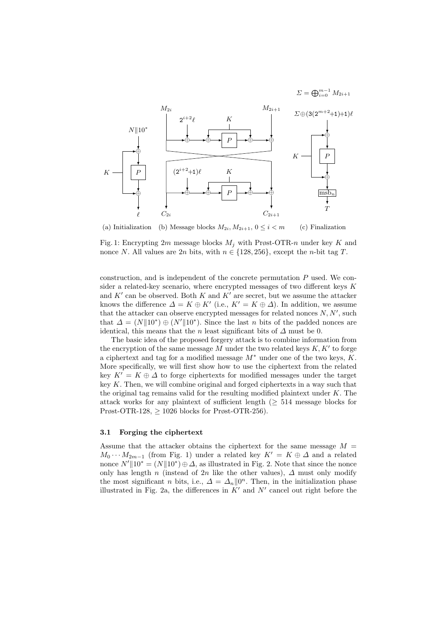$\Sigma = \bigoplus_{i=0}^{m-1} M_{2i+1}$ 

<span id="page-5-0"></span>

(a) Initialization (b) Message blocks  $M_{2i}$ ,  $M_{2i+1}$ ,  $0 \leq i < m$ (c) Finalization

Fig. 1: Encrypting  $2m$  message blocks  $M_i$  with Prøst-OTR-n under key K and nonce N. All values are 2n bits, with  $n \in \{128, 256\}$ , except the n-bit tag T.

construction, and is independent of the concrete permutation  $P$  used. We consider a related-key scenario, where encrypted messages of two different keys  $K$ and  $K'$  can be observed. Both K and  $K'$  are secret, but we assume the attacker knows the difference  $\Delta = K \oplus K'$  (i.e.,  $K' = K \oplus \Delta$ ). In addition, we assume that the attacker can observe encrypted messages for related nonces  $N, N'$ , such that  $\Delta = (N \| 10^*) \oplus (N' \| 10^*)$ . Since the last n bits of the padded nonces are identical, this means that the *n* least significant bits of  $\Delta$  must be 0.

The basic idea of the proposed forgery attack is to combine information from the encryption of the same message  $M$  under the two related keys  $K, K'$  to forge a ciphertext and tag for a modified message  $M^*$  under one of the two keys,  $K$ . More specifically, we will first show how to use the ciphertext from the related key  $K' = K \oplus \Delta$  to forge ciphertexts for modified messages under the target key  $K$ . Then, we will combine original and forged ciphertexts in a way such that the original tag remains valid for the resulting modified plaintext under  $K$ . The attack works for any plaintext of sufficient length ( $\geq$  514 message blocks for Prøst-OTR-128,  $\geq$  1026 blocks for Prøst-OTR-256).

#### <span id="page-5-1"></span>3.1 Forging the ciphertext

Assume that the attacker obtains the ciphertext for the same message  $M =$  $M_0 \cdots M_{2m-1}$  (from Fig. [1\)](#page-5-0) under a related key  $K' = K \oplus \Delta$  and a related nonce  $N'$ ||10<sup>\*</sup> =  $(N||10^*) \oplus \Delta$ , as illustrated in Fig. [2.](#page-7-0) Note that since the nonce only has length n (instead of 2n like the other values),  $\Delta$  must only modify the most significant *n* bits, i.e.,  $\Delta = \Delta_n ||0^n$ . Then, in the initialization phase illustrated in Fig. [2a,](#page-7-0) the differences in  $K'$  and  $N'$  cancel out right before the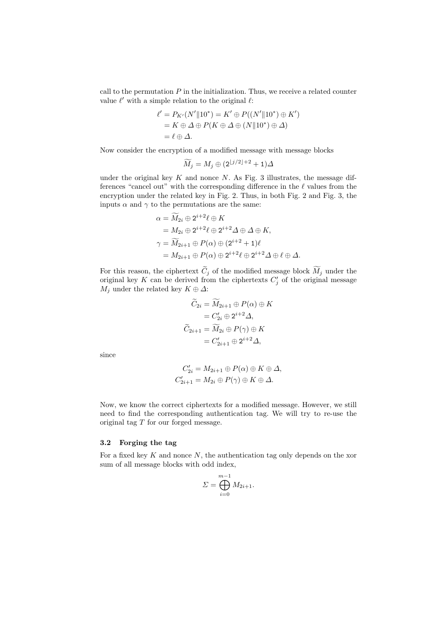call to the permutation  $P$  in the initialization. Thus, we receive a related counter value  $\ell'$  with a simple relation to the original  $\ell$ :

$$
\ell' = P_{K'}(N' || 10^*) = K' \oplus P((N' || 10^*) \oplus K')
$$
  
=  $K \oplus \Delta \oplus P(K \oplus \Delta \oplus (N || 10^*) \oplus \Delta)$   
=  $\ell \oplus \Delta$ .

Now consider the encryption of a modified message with message blocks

$$
\widetilde{M}_j = M_j \oplus (2^{\lfloor j/2 \rfloor + 2} + 1) \Delta
$$

under the original key  $K$  and nonce  $N$ . As Fig. [3](#page-7-1) illustrates, the message differences "cancel out" with the corresponding difference in the  $\ell$  values from the encryption under the related key in Fig. [2.](#page-7-0) Thus, in both Fig. [2](#page-7-0) and Fig. [3,](#page-7-1) the inputs  $\alpha$  and  $\gamma$  to the permutations are the same:

$$
\alpha = \widetilde{M}_{2i} \oplus 2^{i+2}\ell \oplus K
$$
  
=  $M_{2i} \oplus 2^{i+2}\ell \oplus 2^{i+2}\Delta \oplus \Delta \oplus K$ ,  

$$
\gamma = \widetilde{M}_{2i+1} \oplus P(\alpha) \oplus (2^{i+2} + 1)\ell
$$
  
=  $M_{2i+1} \oplus P(\alpha) \oplus 2^{i+2}\ell \oplus 2^{i+2}\Delta \oplus \ell \oplus \Delta$ .

For this reason, the ciphertext  $C_j$  of the modified message block  $M_j$  under the original key K can be derived from the ciphertexts  $C'_j$  of the original message  $M_j$  under the related key  $K \oplus \Delta$ :

$$
\widetilde{C}_{2i} = \widetilde{M}_{2i+1} \oplus P(\alpha) \oplus K
$$

$$
= C'_{2i} \oplus 2^{i+2} \Delta,
$$

$$
\widetilde{C}_{2i+1} = \widetilde{M}_{2i} \oplus P(\gamma) \oplus K
$$

$$
= C'_{2i+1} \oplus 2^{i+2} \Delta,
$$

since

$$
C'_{2i} = M_{2i+1} \oplus P(\alpha) \oplus K \oplus \Delta,
$$
  

$$
C'_{2i+1} = M_{2i} \oplus P(\gamma) \oplus K \oplus \Delta.
$$

Now, we know the correct ciphertexts for a modified message. However, we still need to find the corresponding authentication tag. We will try to re-use the original tag T for our forged message.

### 3.2 Forging the tag

For a fixed key  $K$  and nonce  $N$ , the authentication tag only depends on the xor sum of all message blocks with odd index,

$$
\Sigma = \bigoplus_{i=0}^{m-1} M_{2i+1}.
$$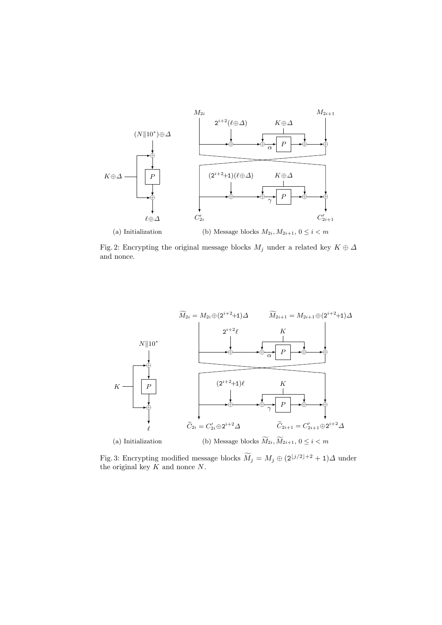<span id="page-7-0"></span>

Fig. 2: Encrypting the original message blocks  $M_j$  under a related key  $K\oplus\Delta$ and nonce.

<span id="page-7-1"></span>

Fig. 3: Encrypting modified message blocks  $\widetilde{M}_j = M_j \oplus (2^{\lfloor j/2 \rfloor + 2} + 1)\Delta$  under the original key  $K$  and nonce  $N$ .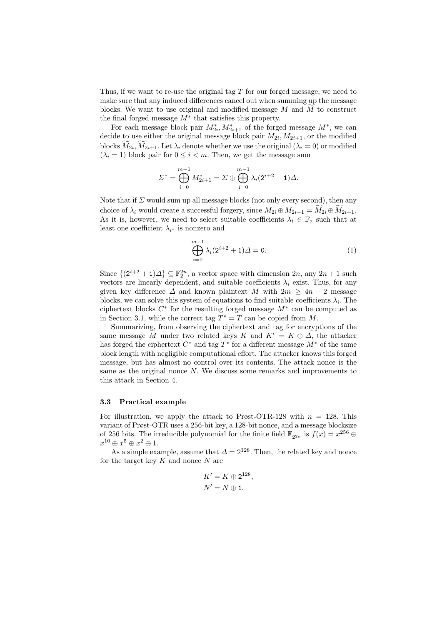Thus, if we want to re-use the original tag  $T$  for our forged message, we need to make sure that any induced differences cancel out when summing up the message blocks. We want to use original and modified message  $M$  and  $M$  to construct the final forged message  $M^*$  that satisfies this property.

For each message block pair  $M^*_{2i}, M^*_{2i+1}$  of the forged message  $M^*$ , we can decide to use either the original message block pair  $M_{2i}$ ,  $M_{2i+1}$ , or the modified blocks  $M_{2i}$ ,  $M_{2i+1}$ . Let  $\lambda_i$  denote whether we use the original  $(\lambda_i = 0)$  or modified  $(\lambda_i = 1)$  block pair for  $0 \leq i < m$ . Then, we get the message sum

$$
\varSigma^* = \bigoplus_{i=0}^{m-1} M_{2i+1}^* = \varSigma \oplus \bigoplus_{i=0}^{m-1} \lambda_i (2^{i+2} + 1) \varDelta.
$$

Note that if  $\Sigma$  would sum up all message blocks (not only every second), then any choice of  $\lambda_i$  would create a successful forgery, since  $M_{2i} \oplus M_{2i+1} = M_{2i} \oplus M_{2i+1}$ . As it is, however, we need to select suitable coefficients  $\lambda_i \in \mathbb{F}_2$  such that at least one coefficient  $\lambda_{i^*}$  is nonzero and

<span id="page-8-0"></span>
$$
\bigoplus_{i=0}^{m-1} \lambda_i (2^{i+2} + 1)\Delta = 0.
$$
 (1)

Since  $\{(2^{i+2}+1)\Delta\}\subseteq \mathbb{F}_2^{2n}$ , a vector space with dimension  $2n$ , any  $2n+1$  such vectors are linearly dependent, and suitable coefficients  $\lambda_i$  exist. Thus, for any given key difference  $\Delta$  and known plaintext M with  $2m \geq 4n + 2$  message blocks, we can solve this system of equations to find suitable coefficients  $\lambda_i$ . The ciphertext blocks  $C^*$  for the resulting forged message  $M^*$  can be computed as in Section [3.1,](#page-5-1) while the correct tag  $T^* = T$  can be copied from M.

Summarizing, from observing the ciphertext and tag for encryptions of the same message M under two related keys K and  $K' = K \oplus \Delta$ , the attacker has forged the ciphertext  $C^*$  and tag  $T^*$  for a different message  $M^*$  of the same block length with negligible computational effort. The attacker knows this forged message, but has almost no control over its contents. The attack nonce is the same as the original nonce N. We discuss some remarks and improvements to this attack in Section [4.](#page-9-0)

#### 3.3 Practical example

For illustration, we apply the attack to Prøst-OTR-128 with  $n = 128$ . This variant of Prøst-OTR uses a 256-bit key, a 128-bit nonce, and a message blocksize of 256 bits. The irreducible polynomial for the finite field  $\mathbb{F}_{2^{2n}}$  is  $f(x) = x^{256} \oplus$  $x^{10} \oplus x^5 \oplus x^2 \oplus 1.$ 

As a simple example, assume that  $\Delta = 2^{128}$ . Then, the related key and nonce for the target key  $K$  and nonce  $N$  are

$$
K' = K \oplus 2^{128},
$$
  

$$
N' = N \oplus 1.
$$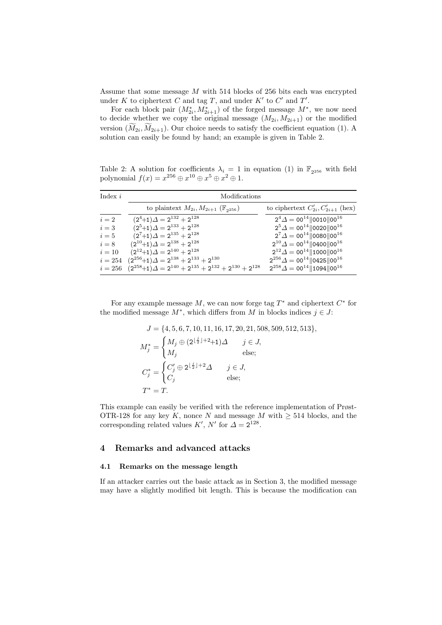Assume that some message M with 514 blocks of 256 bits each was encrypted under K to ciphertext C and tag T, and under  $K'$  to C' and T'.

For each block pair  $(M_{2i}^*, M_{2i+1}^*)$  of the forged message  $M^*$ , we now need to decide whether we copy the original message  $(M_{2i}, M_{2i+1})$  or the modified version  $(M_{2i}, M_{2i+1})$ . Our choice needs to satisfy the coefficient equation [\(1\)](#page-8-0). A solution can easily be found by hand; an example is given in Table [2.](#page-9-1)

<span id="page-9-1"></span>Table 2: A solution for coefficients  $\lambda_i = 1$  in equation [\(1\)](#page-8-0) in  $\mathbb{F}_{2^{256}}$  with field polynomial  $f(x) = x^{256} \oplus x^{10} \oplus x^5 \oplus x^2 \oplus 1$ .

| Index $i$ | Modifications                                                         |                                           |  |
|-----------|-----------------------------------------------------------------------|-------------------------------------------|--|
|           | to plaintext $M_{2i}$ , $M_{2i+1}$ ( $\mathbb{F}_{2^{256}}$ )         | to ciphertext $C'_{2i}, C'_{2i+1}$ (hex)  |  |
| $i=2$     | $(2^4+1)\Delta = 2^{132} + 2^{128}$                                   | $2^4\Delta = 00^{14}  0010  00^{16}$      |  |
| $i=3$     | $(2^5+1)\Delta = 2^{133} + 2^{128}$                                   | $2^5\Delta = 00^{14}  0020  00^{16}$      |  |
| $i=5$     | $(2^7+1)\Delta = 2^{135} + 2^{128}$                                   | $2^7\Delta = 00^{14}  0080  00^{16}$      |  |
| $i=8$     | $(2^{10}+1)\Delta = 2^{138} + 2^{128}$                                | $2^{10} \Delta = 00^{14}   0400  00^{16}$ |  |
| $i=10$    | $(2^{12}+1)\Delta = 2^{140} + 2^{128}$                                | $2^{12}\Delta = 00^{14}  1000  00^{16}$   |  |
| $i = 254$ | $(2^{256}+1)\Delta = 2^{138} + 2^{133} + 2^{130}$                     | $2^{256}\Delta = 00^{14}  0425  00^{16}$  |  |
| $i = 256$ | $(2^{258}+1)\Delta = 2^{140} + 2^{135} + 2^{132} + 2^{130} + 2^{128}$ | $2^{258}\Delta = 00^{14}  1094  00^{16}$  |  |

For any example message  $M$ , we can now forge tag  $T^*$  and ciphertext  $C^*$  for the modified message  $M^*$ , which differs from M in blocks indices  $j \in J$ :

$$
J = \{4, 5, 6, 7, 10, 11, 16, 17, 20, 21, 508, 509, 512, 513\},\newline M_j^* = \begin{cases} M_j \oplus (2^{\lfloor \frac{j}{2} \rfloor + 2} + 1) \Delta & j \in J, \\ M_j & \text{else;} \end{cases}
$$

$$
C_j^* = \begin{cases} C_j' \oplus 2^{\lfloor \frac{j}{2} \rfloor + 2} \Delta & j \in J, \\ C_j & \text{else;} \end{cases}
$$

$$
T^* = T.
$$

This example can easily be verified with the reference implementation of Prøst-OTR-128 for any key K, nonce N and message M with  $\geq 514$  blocks, and the corresponding related values  $K'$ ,  $N'$  for  $\Delta = 2^{128}$ .

### <span id="page-9-0"></span>4 Remarks and advanced attacks

### 4.1 Remarks on the message length

If an attacker carries out the basic attack as in Section [3,](#page-4-0) the modified message may have a slightly modified bit length. This is because the modification can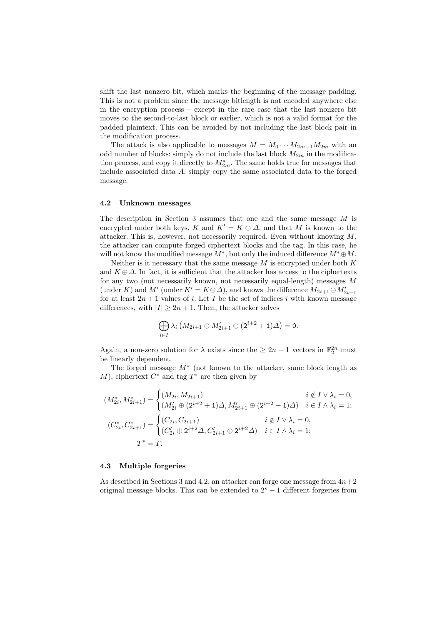shift the last nonzero bit, which marks the beginning of the message padding. This is not a problem since the message bitlength is not encoded anywhere else in the encryption process – except in the rare case that the last nonzero bit moves to the second-to-last block or earlier, which is not a valid format for the padded plaintext. This can be avoided by not including the last block pair in the modification process.

The attack is also applicable to messages  $M = M_0 \cdots M_{2m-1} M_{2m}$  with an odd number of blocks: simply do not include the last block  $M_{2m}$  in the modification process, and copy it directly to  $M_{2m}^*$ . The same holds true for messages that include associated data A: simply copy the same associated data to the forged message.

#### <span id="page-10-0"></span>4.2 Unknown messages

The description in Section [3](#page-4-0) assumes that one and the same message M is encrypted under both keys, K and  $K' = K \oplus \Delta$ , and that M is known to the attacker. This is, however, not necessarily required. Even without knowing  $M$ , the attacker can compute forged ciphertext blocks and the tag. In this case, he will not know the modified message  $M^*$ , but only the induced difference  $M^*\oplus M$ .

Neither is it necessary that the same message  $M$  is encrypted under both  $K$ and  $K \oplus \Delta$ . In fact, it is sufficient that the attacker has access to the ciphertexts for any two (not necessarily known, not necessarily equal-length) messages  $M$ (under K) and M' (under  $K' = K \oplus \Delta$ ), and knows the difference  $M_{2i+1} \oplus M'_{2i+1}$ for at least  $2n + 1$  values of *i*. Let *I* be the set of indices *i* with known message differences, with  $|I| \geq 2n + 1$ . Then, the attacker solves

$$
\bigoplus_{i\in I}\lambda_i\left(M_{2i+1}\oplus M'_{2i+1}\oplus (2^{i+2}+1)\Delta\right)=0.
$$

Again, a non-zero solution for  $\lambda$  exists since the  $\geq 2n+1$  vectors in  $\mathbb{F}_2^{2n}$  must be linearly dependent.

The forged message  $M^*$  (not known to the attacker, same block length as  $(M)$ , ciphertext  $C^*$  and tag  $T^*$  are then given by

$$
(M_{2i}^*, M_{2i+1}^*) = \begin{cases} (M_{2i}, M_{2i+1}) & i \notin I \vee \lambda_i = 0, \\ (M_{2i}' \oplus (2^{i+2} + 1)\Delta, M_{2i+1}' \oplus (2^{i+2} + 1)\Delta) & i \in I \wedge \lambda_i = 1; \end{cases}
$$
  

$$
(C_{2i}^*, C_{2i+1}^*) = \begin{cases} (C_{2i}, C_{2i+1}) & i \notin I \vee \lambda_i = 0, \\ (C_{2i}' \oplus 2^{i+2}\Delta, C_{2i+1}' \oplus 2^{i+2}\Delta) & i \in I \wedge \lambda_i = 1; \end{cases}
$$
  

$$
T^* = T.
$$

#### 4.3 Multiple forgeries

As described in Sections [3](#page-4-0) and [4.2,](#page-10-0) an attacker can forge one message from  $4n+2$ original message blocks. This can be extended to  $2<sup>s</sup> - 1$  different forgeries from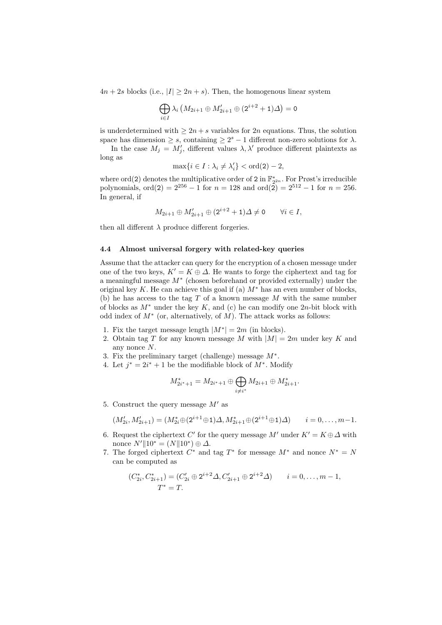$4n + 2s$  blocks (i.e.,  $|I| \geq 2n + s$ ). Then, the homogenous linear system

$$
\bigoplus_{i\in I}\lambda_i\left(M_{2i+1}\oplus M_{2i+1}'\oplus (2^{i+2}+1)\Delta\right)=0
$$

is underdetermined with  $\geq 2n + s$  variables for 2n equations. Thus, the solution space has dimension  $\geq s$ , containing  $\geq 2^s - 1$  different non-zero solutions for  $\lambda$ .

In the case  $M_j = M'_j$ , different values  $\lambda, \lambda'$  produce different plaintexts as long as

$$
\max\{i \in I : \lambda_i \neq \lambda'_i\} < \text{ord}(2) - 2,
$$

where  $\text{ord}(2)$  denotes the multiplicative order of 2 in  $\mathbb{F}_{2^{2n}}^*$ . For Prøst's irreducible polynomials, ord(2) =  $2^{256} - 1$  for  $n = 128$  and ord(2) =  $2^{512} - 1$  for  $n = 256$ . In general, if

$$
M_{2i+1}\oplus M'_{2i+1}\oplus (2^{i+2}+1)\Delta \neq 0 \qquad \forall i\in I,
$$

then all different  $\lambda$  produce different forgeries.

### 4.4 Almost universal forgery with related-key queries

Assume that the attacker can query for the encryption of a chosen message under one of the two keys,  $K' = K \oplus \Delta$ . He wants to forge the ciphertext and tag for a meaningful message M<sup>∗</sup> (chosen beforehand or provided externally) under the original key K. He can achieve this goal if (a)  $M^*$  has an even number of blocks, (b) he has access to the tag  $T$  of a known message  $M$  with the same number of blocks as  $M^*$  under the key K, and (c) he can modify one 2n-bit block with odd index of  $M^*$  (or, alternatively, of  $M$ ). The attack works as follows:

- 1. Fix the target message length  $|M^*| = 2m$  (in blocks).
- 2. Obtain tag T for any known message M with  $|M| = 2m$  under key K and any nonce N.
- 3. Fix the preliminary target (challenge) message  $M^*$ .
- 4. Let  $j^* = 2i^* + 1$  be the modifiable block of  $M^*$ . Modify

$$
M^*_{2i^*+1} = M_{2i^*+1} \oplus \bigoplus_{i \neq i^*} M_{2i+1} \oplus M^*_{2i+1}.
$$

5. Construct the query message  $M'$  as

$$
(M'_{2i}, M'_{2i+1}) = (M^*_{2i} \oplus (2^{i+1} \oplus 1)\Delta, M^*_{2i+1} \oplus (2^{i+1} \oplus 1)\Delta) \qquad i = 0, \ldots, m-1.
$$

- 6. Request the ciphertext C' for the query message M' under  $K' = K \oplus \Delta$  with nonce  $N'$ ||10<sup>\*</sup> =  $(N||10^*) \oplus \Delta$ .
- 7. The forged ciphertext  $C^*$  and tag  $T^*$  for message  $M^*$  and nonce  $N^* = N$ can be computed as

$$
(C_{2i}^*, C_{2i+1}^*) = (C_{2i}' \oplus 2^{i+2} \Delta, C_{2i+1}' \oplus 2^{i+2} \Delta) \qquad i = 0, \ldots, m-1,
$$
  

$$
T^* = T.
$$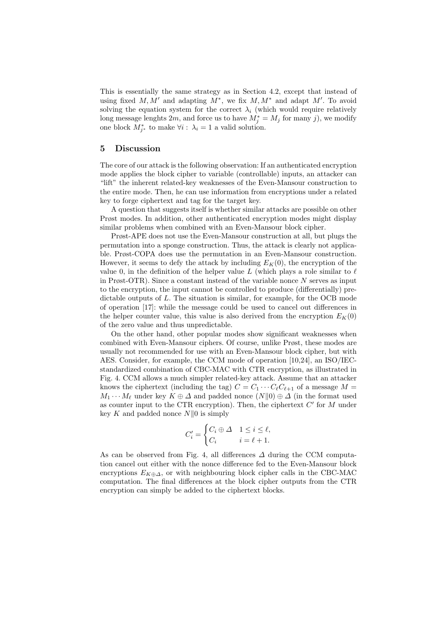This is essentially the same strategy as in Section [4.2,](#page-10-0) except that instead of using fixed  $M, M'$  and adapting  $M^*$ , we fix  $M, M^*$  and adapt  $M'$ . To avoid solving the equation system for the correct  $\lambda_i$  (which would require relatively long message lenghts  $2m$ , and force us to have  $M_j^* = M_j$  for many j), we modify one block  $M^*_{j^*}$  to make  $\forall i : \lambda_i = 1$  a valid solution.

### <span id="page-12-0"></span>5 Discussion

The core of our attack is the following observation: If an authenticated encryption mode applies the block cipher to variable (controllable) inputs, an attacker can "lift" the inherent related-key weaknesses of the Even-Mansour construction to the entire mode. Then, he can use information from encryptions under a related key to forge ciphertext and tag for the target key.

A question that suggests itself is whether similar attacks are possible on other Prøst modes. In addition, other authenticated encryption modes might display similar problems when combined with an Even-Mansour block cipher.

Prøst-APE does not use the Even-Mansour construction at all, but plugs the permutation into a sponge construction. Thus, the attack is clearly not applicable. Prøst-COPA does use the permutation in an Even-Mansour construction. However, it seems to defy the attack by including  $E_K(0)$ , the encryption of the value 0, in the definition of the helper value L (which plays a role similar to  $\ell$ in Prøst-OTR). Since a constant instead of the variable nonce  $N$  serves as input to the encryption, the input cannot be controlled to produce (differentially) predictable outputs of L. The situation is similar, for example, for the OCB mode of operation [\[17\]](#page-14-14): while the message could be used to cancel out differences in the helper counter value, this value is also derived from the encryption  $E_K(0)$ of the zero value and thus unpredictable.

On the other hand, other popular modes show significant weaknesses when combined with Even-Mansour ciphers. Of course, unlike Prøst, these modes are usually not recommended for use with an Even-Mansour block cipher, but with AES. Consider, for example, the CCM mode of operation [\[10,](#page-14-15)[24\]](#page-15-4), an ISO/IECstandardized combination of CBC-MAC with CTR encryption, as illustrated in Fig. [4.](#page-13-3) CCM allows a much simpler related-key attack. Assume that an attacker knows the ciphertext (including the tag)  $C = C_1 \cdots C_\ell C_{\ell+1}$  of a message  $M =$  $M_1 \cdots M_\ell$  under key  $K \oplus \Delta$  and padded nonce  $(N||0) \oplus \Delta$  (in the format used as counter input to the CTR encryption). Then, the ciphertext  $C'$  for  $M$  under key K and padded nonce  $N||0$  is simply

$$
C_i' = \begin{cases} C_i \oplus \Delta & 1 \leq i \leq \ell, \\ C_i & i = \ell + 1. \end{cases}
$$

As can be observed from Fig. [4,](#page-13-3) all differences  $\Delta$  during the CCM computation cancel out either with the nonce difference fed to the Even-Mansour block encryptions  $E_{K \oplus \Delta}$ , or with neighbouring block cipher calls in the CBC-MAC computation. The final differences at the block cipher outputs from the CTR encryption can simply be added to the ciphertext blocks.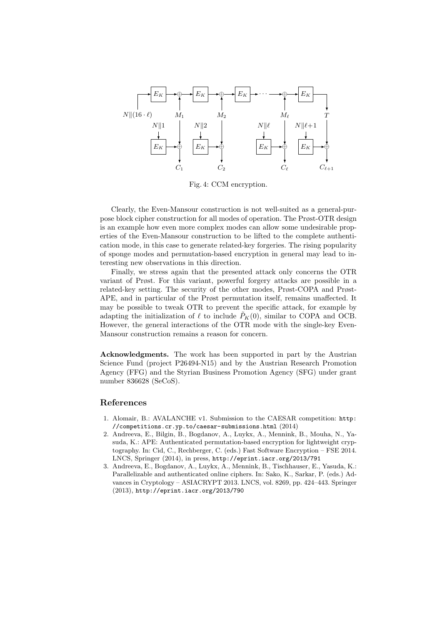<span id="page-13-3"></span>

Fig. 4: CCM encryption.

Clearly, the Even-Mansour construction is not well-suited as a general-purpose block cipher construction for all modes of operation. The Prøst-OTR design is an example how even more complex modes can allow some undesirable properties of the Even-Mansour construction to be lifted to the complete authentication mode, in this case to generate related-key forgeries. The rising popularity of sponge modes and permutation-based encryption in general may lead to interesting new observations in this direction.

Finally, we stress again that the presented attack only concerns the OTR variant of Prøst. For this variant, powerful forgery attacks are possible in a related-key setting. The security of the other modes, Prøst-COPA and Prøst-APE, and in particular of the Prøst permutation itself, remains unaffected. It may be possible to tweak OTR to prevent the specific attack, for example by adapting the initialization of  $\ell$  to include  $\tilde{P}_K(0)$ , similar to COPA and OCB. However, the general interactions of the OTR mode with the single-key Even-Mansour construction remains a reason for concern.

Acknowledgments. The work has been supported in part by the Austrian Science Fund (project P26494-N15) and by the Austrian Research Promotion Agency (FFG) and the Styrian Business Promotion Agency (SFG) under grant number 836628 (SeCoS).

# References

- <span id="page-13-0"></span>1. Alomair, B.: AVALANCHE v1. Submission to the CAESAR competition: [http:](http://competitions.cr.yp.to/caesar-submissions.html) [//competitions.cr.yp.to/caesar-submissions.html](http://competitions.cr.yp.to/caesar-submissions.html) (2014)
- <span id="page-13-1"></span>2. Andreeva, E., Bilgin, B., Bogdanov, A., Luykx, A., Mennink, B., Mouha, N., Yasuda, K.: APE: Authenticated permutation-based encryption for lightweight cryptography. In: Cid, C., Rechberger, C. (eds.) Fast Software Encryption – FSE 2014. LNCS, Springer (2014), in press, <http://eprint.iacr.org/2013/791>
- <span id="page-13-2"></span>3. Andreeva, E., Bogdanov, A., Luykx, A., Mennink, B., Tischhauser, E., Yasuda, K.: Parallelizable and authenticated online ciphers. In: Sako, K., Sarkar, P. (eds.) Advances in Cryptology – ASIACRYPT 2013. LNCS, vol. 8269, pp. 424–443. Springer (2013), <http://eprint.iacr.org/2013/790>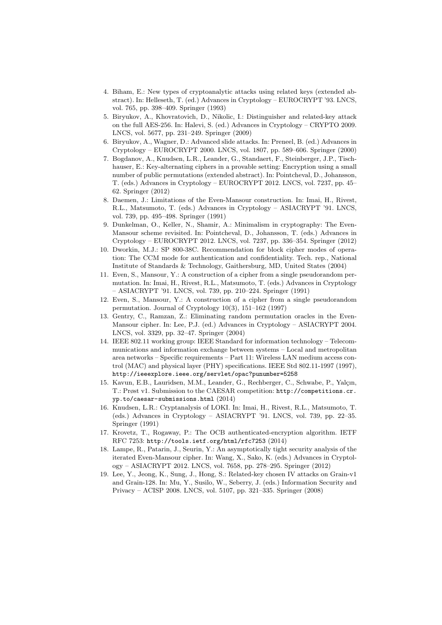- <span id="page-14-10"></span>4. Biham, E.: New types of cryptoanalytic attacks using related keys (extended abstract). In: Helleseth, T. (ed.) Advances in Cryptology – EUROCRYPT '93. LNCS, vol. 765, pp. 398–409. Springer (1993)
- <span id="page-14-12"></span>5. Biryukov, A., Khovratovich, D., Nikolic, I.: Distinguisher and related-key attack on the full AES-256. In: Halevi, S. (ed.) Advances in Cryptology – CRYPTO 2009. LNCS, vol. 5677, pp. 231–249. Springer (2009)
- <span id="page-14-4"></span>6. Biryukov, A., Wagner, D.: Advanced slide attacks. In: Preneel, B. (ed.) Advances in Cryptology – EUROCRYPT 2000. LNCS, vol. 1807, pp. 589–606. Springer (2000)
- <span id="page-14-5"></span>7. Bogdanov, A., Knudsen, L.R., Leander, G., Standaert, F., Steinberger, J.P., Tischhauser, E.: Key-alternating ciphers in a provable setting: Encryption using a small number of public permutations (extended abstract). In: Pointcheval, D., Johansson, T. (eds.) Advances in Cryptology – EUROCRYPT 2012. LNCS, vol. 7237, pp. 45– 62. Springer (2012)
- <span id="page-14-6"></span>8. Daemen, J.: Limitations of the Even-Mansour construction. In: Imai, H., Rivest, R.L., Matsumoto, T. (eds.) Advances in Cryptology – ASIACRYPT '91. LNCS, vol. 739, pp. 495–498. Springer (1991)
- <span id="page-14-1"></span>9. Dunkelman, O., Keller, N., Shamir, A.: Minimalism in cryptography: The Even-Mansour scheme revisited. In: Pointcheval, D., Johansson, T. (eds.) Advances in Cryptology – EUROCRYPT 2012. LNCS, vol. 7237, pp. 336–354. Springer (2012)
- <span id="page-14-15"></span>10. Dworkin, M.J.: SP 800-38C. Recommendation for block cipher modes of operation: The CCM mode for authentication and confidentiality. Tech. rep., National Institute of Standards & Technology, Gaithersburg, MD, United States (2004)
- <span id="page-14-2"></span>11. Even, S., Mansour, Y.: A construction of a cipher from a single pseudorandom permutation. In: Imai, H., Rivest, R.L., Matsumoto, T. (eds.) Advances in Cryptology – ASIACRYPT '91. LNCS, vol. 739, pp. 210–224. Springer (1991)
- <span id="page-14-3"></span>12. Even, S., Mansour, Y.: A construction of a cipher from a single pseudorandom permutation. Journal of Cryptology 10(3), 151–162 (1997)
- <span id="page-14-7"></span>13. Gentry, C., Ramzan, Z.: Eliminating random permutation oracles in the Even-Mansour cipher. In: Lee, P.J. (ed.) Advances in Cryptology – ASIACRYPT 2004. LNCS, vol. 3329, pp. 32–47. Springer (2004)
- <span id="page-14-9"></span>14. IEEE 802.11 working group: IEEE Standard for information technology – Telecommunications and information exchange between systems – Local and metropolitan area networks – Specific requirements – Part 11: Wireless LAN medium access control (MAC) and physical layer (PHY) specifications. IEEE Std 802.11-1997 (1997), <http://ieeexplore.ieee.org/servlet/opac?punumber=5258>
- <span id="page-14-0"></span>15. Kavun, E.B., Lauridsen, M.M., Leander, G., Rechberger, C., Schwabe, P., Yalçın, T.: Prøst v1. Submission to the CAESAR competition: [http://competitions.cr.](http://competitions.cr.yp.to/caesar-submissions.html) [yp.to/caesar-submissions.html](http://competitions.cr.yp.to/caesar-submissions.html) (2014)
- <span id="page-14-11"></span>16. Knudsen, L.R.: Cryptanalysis of LOKI. In: Imai, H., Rivest, R.L., Matsumoto, T. (eds.) Advances in Cryptology – ASIACRYPT '91. LNCS, vol. 739, pp. 22–35. Springer (1991)
- <span id="page-14-14"></span>17. Krovetz, T., Rogaway, P.: The OCB authenticated-encryption algorithm. IETF RFC 7253: <http://tools.ietf.org/html/rfc7253> (2014)
- <span id="page-14-8"></span>18. Lampe, R., Patarin, J., Seurin, Y.: An asymptotically tight security analysis of the iterated Even-Mansour cipher. In: Wang, X., Sako, K. (eds.) Advances in Cryptology – ASIACRYPT 2012. LNCS, vol. 7658, pp. 278–295. Springer (2012)
- <span id="page-14-13"></span>19. Lee, Y., Jeong, K., Sung, J., Hong, S.: Related-key chosen IV attacks on Grain-v1 and Grain-128. In: Mu, Y., Susilo, W., Seberry, J. (eds.) Information Security and Privacy – ACISP 2008. LNCS, vol. 5107, pp. 321–335. Springer (2008)